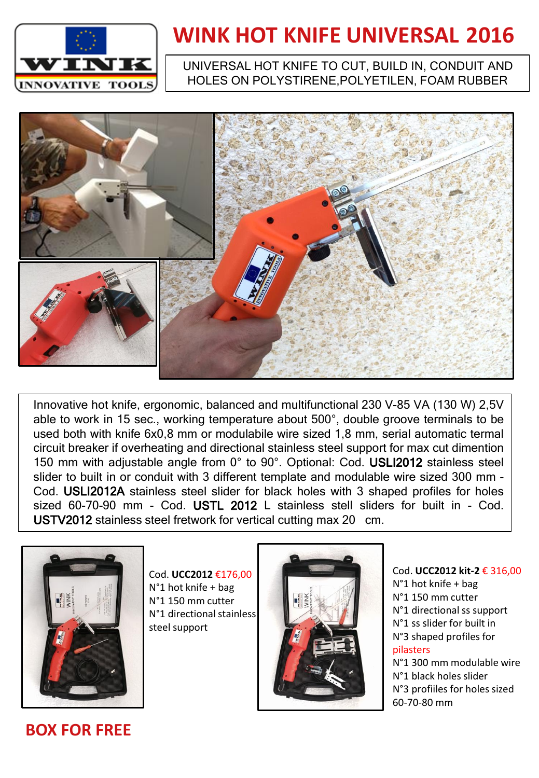

## **WINK HOT KNIFE UNIVERSAL 2016**

#### UNIVERSAL HOT KNIFE TO CUT, BUILD IN, CONDUIT AND HOLES ON POLYSTIRENE,POLYETILEN, FOAM RUBBER



Innovative hot knife, ergonomic, balanced and multifunctional 230 V-85 VA (130 W) 2,5V able to work in 15 sec., working temperature about 500°, double groove terminals to be used both with knife 6x0,8 mm or modulabile wire sized 1,8 mm, serial automatic termal circuit breaker if overheating and directional stainless steel support for max cut dimention 150 mm with adjustable angle from 0° to 90°. Optional: Cod. USLI2012 stainless steel slider to built in or conduit with 3 different template and modulable wire sized 300 mm - Cod. USLI2012A stainless steel slider for black holes with 3 shaped profiles for holes sized 60-70-90 mm - Cod. USTL 2012 L stainless stell sliders for built in - Cod. USTV2012 stainless steel fretwork for vertical cutting max 20 cm.



Cod. **UCC2012** €176,00 N°1 hot knife + bag N°1 150 mm cutter N°1 directional stainless steel support



#### Cod. **UCC2012 kit-2** € 316,00 N°1 hot knife + bag N°1 150 mm cutter N°1 directional ss support N°1 ss slider for built in N°3 shaped profiles for pilasters

N°1 300 mm modulable wire N°1 black holes slider N°3 profiiles for holes sized 60-70-80 mm

**BOX FOR FREE**